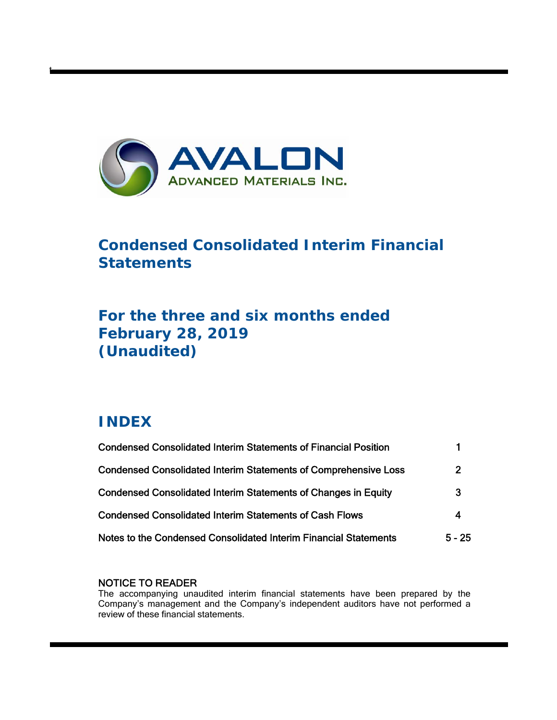

# **Condensed Consolidated Interim Financial Statements**

# **For the three and six months ended February 28, 2019 (Unaudited)**

# **INDEX**

t

| <b>Condensed Consolidated Interim Statements of Financial Position</b> |                |
|------------------------------------------------------------------------|----------------|
| <b>Condensed Consolidated Interim Statements of Comprehensive Loss</b> | $\overline{2}$ |
| <b>Condensed Consolidated Interim Statements of Changes in Equity</b>  | 3              |
| <b>Condensed Consolidated Interim Statements of Cash Flows</b>         | 4              |
| Notes to the Condensed Consolidated Interim Financial Statements       | $5 - 25$       |

# NOTICE TO READER

The accompanying unaudited interim financial statements have been prepared by the Company's management and the Company's independent auditors have not performed a review of these financial statements.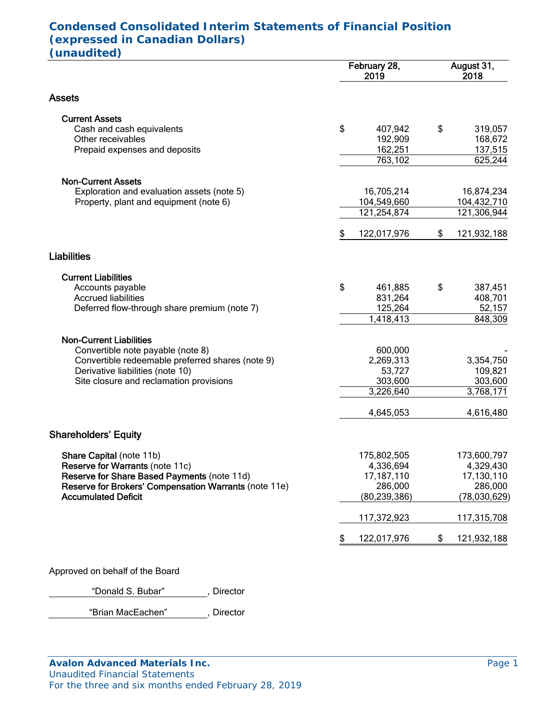# **Condensed Consolidated Interim Statements of Financial Position (expressed in Canadian Dollars) (unaudited)**

|                                                       |    | February 28,<br>2019       | August 31,<br>2018         |
|-------------------------------------------------------|----|----------------------------|----------------------------|
| <b>Assets</b>                                         |    |                            |                            |
| <b>Current Assets</b>                                 |    |                            |                            |
| Cash and cash equivalents                             | \$ | 407,942                    | \$<br>319,057              |
| Other receivables                                     |    | 192,909                    | 168,672                    |
| Prepaid expenses and deposits                         |    | 162,251<br>763,102         | 137,515<br>625,244         |
|                                                       |    |                            |                            |
| <b>Non-Current Assets</b>                             |    |                            |                            |
| Exploration and evaluation assets (note 5)            |    | 16,705,214                 | 16,874,234                 |
| Property, plant and equipment (note 6)                |    | 104,549,660<br>121,254,874 | 104,432,710<br>121,306,944 |
|                                                       |    |                            |                            |
|                                                       | S  | 122,017,976                | \$<br>121,932,188          |
| <b>Liabilities</b>                                    |    |                            |                            |
| <b>Current Liabilities</b>                            |    |                            |                            |
| Accounts payable                                      | \$ | 461,885                    | \$<br>387,451              |
| <b>Accrued liabilities</b>                            |    | 831,264                    | 408,701                    |
| Deferred flow-through share premium (note 7)          |    | 125,264                    | 52,157                     |
|                                                       |    | 1,418,413                  | 848,309                    |
| <b>Non-Current Liabilities</b>                        |    |                            |                            |
| Convertible note payable (note 8)                     |    | 600,000                    |                            |
| Convertible redeemable preferred shares (note 9)      |    | 2,269,313                  | 3,354,750                  |
| Derivative liabilities (note 10)                      |    | 53,727                     | 109,821                    |
| Site closure and reclamation provisions               |    | 303,600<br>3,226,640       | 303,600<br>3,768,171       |
|                                                       |    |                            |                            |
|                                                       |    | 4,645,053                  | 4,616,480                  |
| <b>Shareholders' Equity</b>                           |    |                            |                            |
| Share Capital (note 11b)                              |    | 175,802,505                | 173,600,797                |
| Reserve for Warrants (note 11c)                       |    | 4,336,694                  | 4,329,430                  |
| Reserve for Share Based Payments (note 11d)           |    | 17, 187, 110               | 17,130,110                 |
| Reserve for Brokers' Compensation Warrants (note 11e) |    | 286,000                    | 286,000                    |
| <b>Accumulated Deficit</b>                            |    | (80, 239, 386)             | (78,030,629)               |
|                                                       |    | 117,372,923                | 117,315,708                |
|                                                       | \$ | 122,017,976                | \$<br>121,932,188          |
|                                                       |    |                            |                            |

Approved on behalf of the Board

"Donald S. Bubar" , Director

"Brian MacEachen" , Director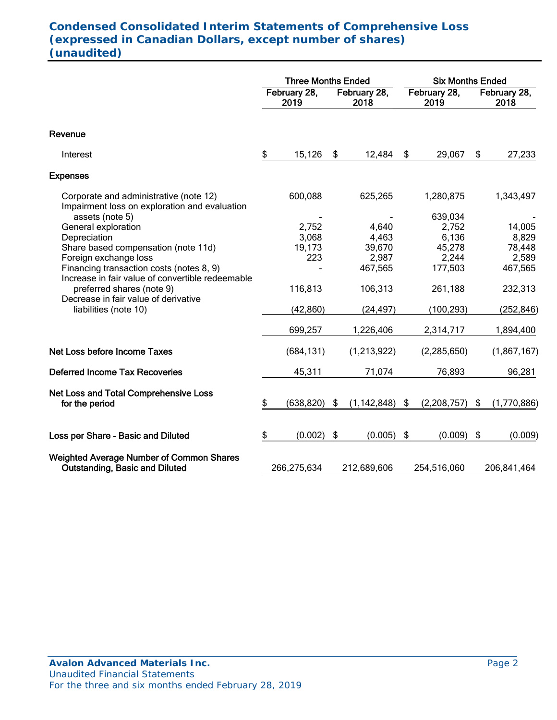# **Condensed Consolidated Interim Statements of Comprehensive Loss (expressed in Canadian Dollars, except number of shares) (unaudited)**

|                                                                                                                                                              |    | <b>Three Months Ended</b> |                      |                    |    | <b>Six Months Ended</b>   |                      |                 |  |
|--------------------------------------------------------------------------------------------------------------------------------------------------------------|----|---------------------------|----------------------|--------------------|----|---------------------------|----------------------|-----------------|--|
|                                                                                                                                                              |    | February 28,<br>2019      | February 28,<br>2018 |                    |    | February 28,<br>2019      | February 28,<br>2018 |                 |  |
| Revenue                                                                                                                                                      |    |                           |                      |                    |    |                           |                      |                 |  |
| Interest                                                                                                                                                     | \$ | 15,126                    | \$                   | 12,484             | \$ | 29,067                    | \$                   | 27,233          |  |
| <b>Expenses</b>                                                                                                                                              |    |                           |                      |                    |    |                           |                      |                 |  |
| Corporate and administrative (note 12)<br>Impairment loss on exploration and evaluation                                                                      |    | 600,088                   |                      | 625,265            |    | 1,280,875                 |                      | 1,343,497       |  |
| assets (note 5)<br>General exploration<br>Depreciation                                                                                                       |    | 2,752<br>3,068            |                      | 4,640<br>4,463     |    | 639,034<br>2,752<br>6,136 |                      | 14,005<br>8,829 |  |
| Share based compensation (note 11d)<br>Foreign exchange loss<br>Financing transaction costs (notes 8, 9)<br>Increase in fair value of convertible redeemable |    | 19,173<br>223             |                      | 39,670<br>2,987    |    | 45,278<br>2,244           |                      | 78,448<br>2,589 |  |
|                                                                                                                                                              |    |                           |                      | 467,565            |    | 177,503                   |                      | 467,565         |  |
| preferred shares (note 9)<br>Decrease in fair value of derivative                                                                                            |    | 116,813                   |                      | 106,313            |    | 261,188                   |                      | 232,313         |  |
| liabilities (note 10)                                                                                                                                        |    | (42, 860)                 |                      | (24, 497)          |    | (100, 293)                |                      | (252, 846)      |  |
|                                                                                                                                                              |    | 699,257                   |                      | 1,226,406          |    | 2,314,717                 |                      | 1,894,400       |  |
| Net Loss before Income Taxes                                                                                                                                 |    | (684, 131)                |                      | (1,213,922)        |    | (2, 285, 650)             |                      | (1,867,167)     |  |
| <b>Deferred Income Tax Recoveries</b>                                                                                                                        |    | 45,311                    |                      | 71,074             |    | 76,893                    |                      | 96,281          |  |
| Net Loss and Total Comprehensive Loss<br>for the period                                                                                                      | \$ | (638, 820)                | \$                   | $(1, 142, 848)$ \$ |    | (2,208,757)               | \$                   | (1,770,886)     |  |
| Loss per Share - Basic and Diluted                                                                                                                           | \$ | (0.002)                   | \$                   | (0.005)            | \$ | (0.009)                   | \$                   | (0.009)         |  |
| <b>Weighted Average Number of Common Shares</b><br><b>Outstanding, Basic and Diluted</b>                                                                     |    | 266,275,634               |                      | 212,689,606        |    | 254,516,060               |                      | 206,841,464     |  |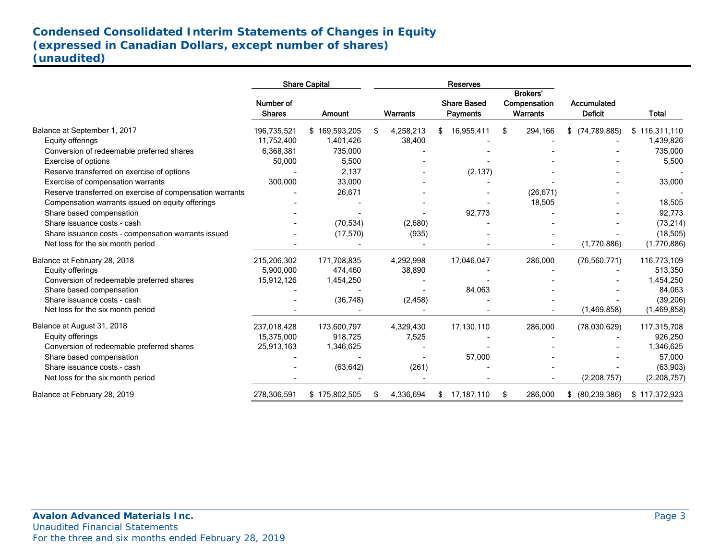# **Condensed Consolidated Interim Statements of Changes in Equity (expressed in Canadian Dollars, except number of shares) (unaudited)**

|                                                          |                            | <b>Share Capital</b> | <b>Reserves</b> |                 |    |                                |     |                                                    |                               |               |
|----------------------------------------------------------|----------------------------|----------------------|-----------------|-----------------|----|--------------------------------|-----|----------------------------------------------------|-------------------------------|---------------|
|                                                          | Number of<br><b>Shares</b> | Amount               |                 | <b>Warrants</b> |    | <b>Share Based</b><br>Payments |     | <b>Brokers'</b><br>Compensation<br><b>Warrants</b> | Accumulated<br><b>Deficit</b> | <b>Total</b>  |
| Balance at September 1, 2017                             | 196,735,521                | \$169,593,205        | \$              | 4,258,213       | \$ | 16,955,411                     | \$. | 294,166                                            | (74, 789, 885)<br>\$          | \$116,311,110 |
| Equity offerings                                         | 11,752,400                 | 1,401,426            |                 | 38,400          |    |                                |     |                                                    |                               | 1,439,826     |
| Conversion of redeemable preferred shares                | 6,368,381                  | 735,000              |                 |                 |    |                                |     |                                                    |                               | 735,000       |
| Exercise of options                                      | 50,000                     | 5,500                |                 |                 |    |                                |     |                                                    |                               | 5,500         |
| Reserve transferred on exercise of options               |                            | 2,137                |                 |                 |    | (2, 137)                       |     |                                                    |                               |               |
| Exercise of compensation warrants                        | 300,000                    | 33,000               |                 |                 |    |                                |     |                                                    |                               | 33,000        |
| Reserve transferred on exercise of compensation warrants |                            | 26,671               |                 |                 |    |                                |     | (26, 671)                                          |                               |               |
| Compensation warrants issued on equity offerings         |                            |                      |                 |                 |    |                                |     | 18,505                                             |                               | 18,505        |
| Share based compensation                                 |                            |                      |                 |                 |    | 92,773                         |     |                                                    |                               | 92,773        |
| Share issuance costs - cash                              |                            | (70, 534)            |                 | (2,680)         |    |                                |     |                                                    |                               | (73, 214)     |
| Share issuance costs - compensation warrants issued      |                            | (17, 570)            |                 | (935)           |    |                                |     |                                                    |                               | (18, 505)     |
| Net loss for the six month period                        |                            |                      |                 |                 |    |                                |     |                                                    | (1,770,886)                   | (1,770,886)   |
| Balance at February 28, 2018                             | 215,206,302                | 171,708,835          |                 | 4,292,998       |    | 17,046,047                     |     | 286,000                                            | (76, 560, 771)                | 116,773,109   |
| Equity offerings                                         | 5,900,000                  | 474,460              |                 | 38,890          |    |                                |     |                                                    |                               | 513,350       |
| Conversion of redeemable preferred shares                | 15,912,126                 | 1,454,250            |                 |                 |    |                                |     |                                                    |                               | 1,454,250     |
| Share based compensation                                 |                            |                      |                 |                 |    | 84,063                         |     |                                                    |                               | 84,063        |
| Share issuance costs - cash                              |                            | (36, 748)            |                 | (2, 458)        |    |                                |     |                                                    |                               | (39, 206)     |
| Net loss for the six month period                        |                            |                      |                 |                 |    |                                |     |                                                    | (1,469,858)                   | (1,469,858)   |
| Balance at August 31, 2018                               | 237,018,428                | 173,600,797          |                 | 4,329,430       |    | 17,130,110                     |     | 286,000                                            | (78,030,629)                  | 117,315,708   |
| Equity offerings                                         | 15,375,000                 | 918.725              |                 | 7,525           |    |                                |     |                                                    |                               | 926,250       |
| Conversion of redeemable preferred shares                | 25,913,163                 | 1,346,625            |                 |                 |    |                                |     |                                                    |                               | 1,346,625     |
| Share based compensation                                 |                            |                      |                 |                 |    | 57,000                         |     |                                                    |                               | 57,000        |
| Share issuance costs - cash                              |                            | (63, 642)            |                 | (261)           |    |                                |     |                                                    |                               | (63,903)      |
| Net loss for the six month period                        |                            |                      |                 |                 |    |                                |     |                                                    | (2,208,757)                   | (2,208,757)   |
| Balance at February 28, 2019                             | 278,306,591                | \$175,802,505        | \$              | 4,336,694       | \$ | 17,187,110                     | \$  | 286,000                                            | (80, 239, 386)<br>\$          | \$117,372,923 |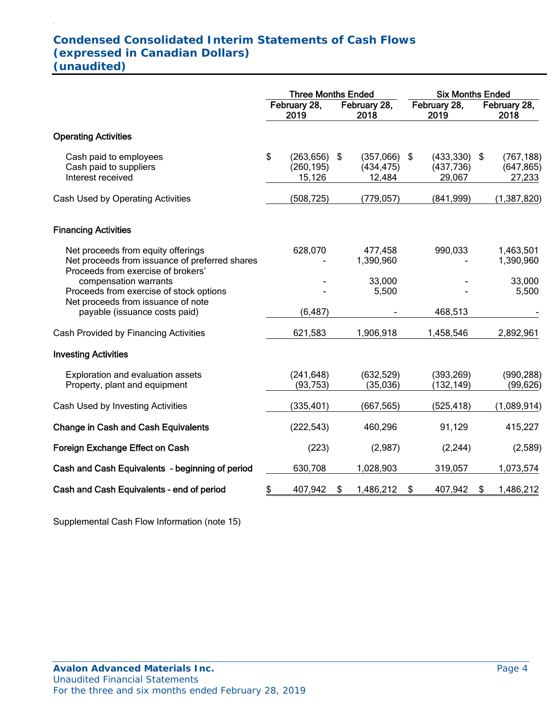# **Condensed Consolidated Interim Statements of Cash Flows (expressed in Canadian Dollars) (unaudited)**

.

|                                                                                                                            | <b>Three Months Ended</b> |                                    |     |                                        |    | <b>Six Months Ended</b>                |    |                                    |  |  |
|----------------------------------------------------------------------------------------------------------------------------|---------------------------|------------------------------------|-----|----------------------------------------|----|----------------------------------------|----|------------------------------------|--|--|
|                                                                                                                            |                           | February 28,<br>2019               |     | February 28,<br>2018                   |    | February 28,<br>2019                   |    | February 28,<br>2018               |  |  |
| <b>Operating Activities</b>                                                                                                |                           |                                    |     |                                        |    |                                        |    |                                    |  |  |
| Cash paid to employees<br>Cash paid to suppliers<br>Interest received                                                      | \$                        | (263, 656)<br>(260, 195)<br>15,126 | -\$ | $(357,066)$ \$<br>(434, 475)<br>12,484 |    | $(433,330)$ \$<br>(437, 736)<br>29,067 |    | (767, 188)<br>(647, 865)<br>27,233 |  |  |
| Cash Used by Operating Activities                                                                                          |                           | (508, 725)                         |     | (779, 057)                             |    | (841,999)                              |    | (1, 387, 820)                      |  |  |
| <b>Financing Activities</b>                                                                                                |                           |                                    |     |                                        |    |                                        |    |                                    |  |  |
| Net proceeds from equity offerings<br>Net proceeds from issuance of preferred shares<br>Proceeds from exercise of brokers' |                           | 628,070                            |     | 477,458<br>1,390,960                   |    | 990,033                                |    | 1,463,501<br>1,390,960             |  |  |
| compensation warrants<br>Proceeds from exercise of stock options<br>Net proceeds from issuance of note                     |                           |                                    |     | 33,000<br>5,500                        |    |                                        |    | 33,000<br>5,500                    |  |  |
| payable (issuance costs paid)                                                                                              |                           | (6, 487)                           |     |                                        |    | 468,513                                |    |                                    |  |  |
| Cash Provided by Financing Activities                                                                                      |                           | 621,583                            |     | 1,906,918                              |    | 1,458,546                              |    | 2,892,961                          |  |  |
| <b>Investing Activities</b>                                                                                                |                           |                                    |     |                                        |    |                                        |    |                                    |  |  |
| Exploration and evaluation assets<br>Property, plant and equipment                                                         |                           | (241, 648)<br>(93, 753)            |     | (632, 529)<br>(35,036)                 |    | (393, 269)<br>(132, 149)               |    | (990, 288)<br>(99, 626)            |  |  |
| Cash Used by Investing Activities                                                                                          |                           | (335, 401)                         |     | (667, 565)                             |    | (525, 418)                             |    | (1,089,914)                        |  |  |
| <b>Change in Cash and Cash Equivalents</b>                                                                                 |                           | (222, 543)                         |     | 460,296                                |    | 91,129                                 |    | 415,227                            |  |  |
| Foreign Exchange Effect on Cash                                                                                            |                           | (223)                              |     | (2,987)                                |    | (2, 244)                               |    | (2,589)                            |  |  |
| Cash and Cash Equivalents - beginning of period                                                                            |                           | 630,708                            |     | 1,028,903                              |    | 319,057                                |    | 1,073,574                          |  |  |
| Cash and Cash Equivalents - end of period                                                                                  | \$                        | 407,942                            | \$  | 1,486,212                              | \$ | 407,942                                | \$ | 1,486,212                          |  |  |

Supplemental Cash Flow Information (note 15)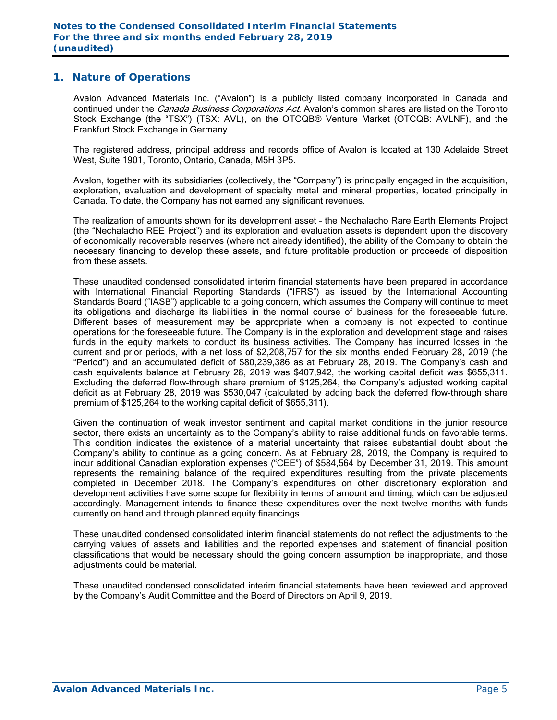### **1. Nature of Operations**

Avalon Advanced Materials Inc. ("Avalon") is a publicly listed company incorporated in Canada and continued under the *Canada Business Corporations Act*. Avalon's common shares are listed on the Toronto Stock Exchange (the "TSX") (TSX: AVL), on the OTCQB® Venture Market (OTCQB: AVLNF), and the Frankfurt Stock Exchange in Germany.

The registered address, principal address and records office of Avalon is located at 130 Adelaide Street West, Suite 1901, Toronto, Ontario, Canada, M5H 3P5.

Avalon, together with its subsidiaries (collectively, the "Company") is principally engaged in the acquisition, exploration, evaluation and development of specialty metal and mineral properties, located principally in Canada. To date, the Company has not earned any significant revenues.

The realization of amounts shown for its development asset – the Nechalacho Rare Earth Elements Project (the "Nechalacho REE Project") and its exploration and evaluation assets is dependent upon the discovery of economically recoverable reserves (where not already identified), the ability of the Company to obtain the necessary financing to develop these assets, and future profitable production or proceeds of disposition from these assets.

These unaudited condensed consolidated interim financial statements have been prepared in accordance with International Financial Reporting Standards ("IFRS") as issued by the International Accounting Standards Board ("IASB") applicable to a going concern, which assumes the Company will continue to meet its obligations and discharge its liabilities in the normal course of business for the foreseeable future. Different bases of measurement may be appropriate when a company is not expected to continue operations for the foreseeable future. The Company is in the exploration and development stage and raises funds in the equity markets to conduct its business activities. The Company has incurred losses in the current and prior periods, with a net loss of \$2,208,757 for the six months ended February 28, 2019 (the "Period") and an accumulated deficit of \$80,239,386 as at February 28, 2019. The Company's cash and cash equivalents balance at February 28, 2019 was \$407,942, the working capital deficit was \$655,311. Excluding the deferred flow-through share premium of \$125,264, the Company's adjusted working capital deficit as at February 28, 2019 was \$530,047 (calculated by adding back the deferred flow-through share premium of \$125,264 to the working capital deficit of \$655,311).

Given the continuation of weak investor sentiment and capital market conditions in the junior resource sector, there exists an uncertainty as to the Company's ability to raise additional funds on favorable terms. This condition indicates the existence of a material uncertainty that raises substantial doubt about the Company's ability to continue as a going concern. As at February 28, 2019, the Company is required to incur additional Canadian exploration expenses ("CEE") of \$584,564 by December 31, 2019. This amount represents the remaining balance of the required expenditures resulting from the private placements completed in December 2018. The Company's expenditures on other discretionary exploration and development activities have some scope for flexibility in terms of amount and timing, which can be adjusted accordingly. Management intends to finance these expenditures over the next twelve months with funds currently on hand and through planned equity financings.

These unaudited condensed consolidated interim financial statements do not reflect the adjustments to the carrying values of assets and liabilities and the reported expenses and statement of financial position classifications that would be necessary should the going concern assumption be inappropriate, and those adiustments could be material.

These unaudited condensed consolidated interim financial statements have been reviewed and approved by the Company's Audit Committee and the Board of Directors on April 9, 2019.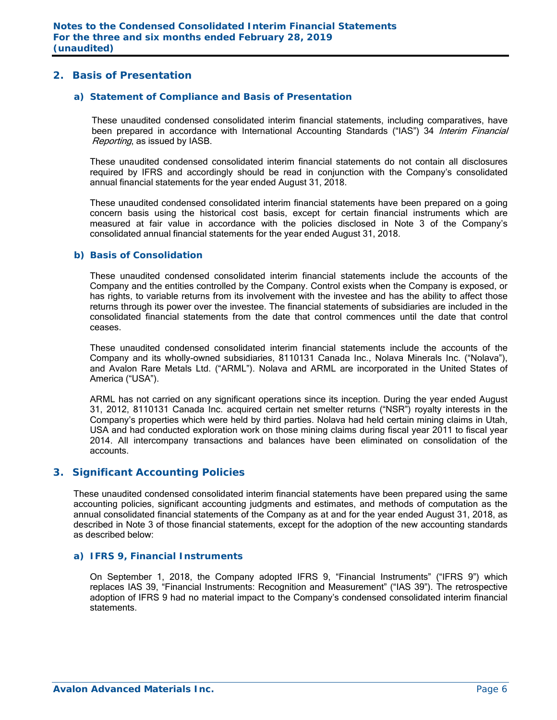### **2. Basis of Presentation**

### *a) Statement of Compliance and Basis of Presentation*

These unaudited condensed consolidated interim financial statements, including comparatives, have been prepared in accordance with International Accounting Standards ("IAS") 34 Interim Financial Reporting, as issued by IASB.

These unaudited condensed consolidated interim financial statements do not contain all disclosures required by IFRS and accordingly should be read in conjunction with the Company's consolidated annual financial statements for the year ended August 31, 2018.

These unaudited condensed consolidated interim financial statements have been prepared on a going concern basis using the historical cost basis, except for certain financial instruments which are measured at fair value in accordance with the policies disclosed in Note 3 of the Company's consolidated annual financial statements for the year ended August 31, 2018.

### *b) Basis of Consolidation*

These unaudited condensed consolidated interim financial statements include the accounts of the Company and the entities controlled by the Company. Control exists when the Company is exposed, or has rights, to variable returns from its involvement with the investee and has the ability to affect those returns through its power over the investee. The financial statements of subsidiaries are included in the consolidated financial statements from the date that control commences until the date that control ceases.

These unaudited condensed consolidated interim financial statements include the accounts of the Company and its wholly-owned subsidiaries, 8110131 Canada Inc., Nolava Minerals Inc. ("Nolava"), and Avalon Rare Metals Ltd. ("ARML"). Nolava and ARML are incorporated in the United States of America ("USA").

ARML has not carried on any significant operations since its inception. During the year ended August 31, 2012, 8110131 Canada Inc. acquired certain net smelter returns ("NSR") royalty interests in the Company's properties which were held by third parties. Nolava had held certain mining claims in Utah, USA and had conducted exploration work on those mining claims during fiscal year 2011 to fiscal year 2014. All intercompany transactions and balances have been eliminated on consolidation of the accounts.

### **3. Significant Accounting Policies**

These unaudited condensed consolidated interim financial statements have been prepared using the same accounting policies, significant accounting judgments and estimates, and methods of computation as the annual consolidated financial statements of the Company as at and for the year ended August 31, 2018, as described in Note 3 of those financial statements, except for the adoption of the new accounting standards as described below:

### *a) IFRS 9, Financial Instruments*

On September 1, 2018, the Company adopted IFRS 9, "Financial Instruments" ("IFRS 9") which replaces IAS 39, "Financial Instruments: Recognition and Measurement" ("IAS 39"). The retrospective adoption of IFRS 9 had no material impact to the Company's condensed consolidated interim financial statements.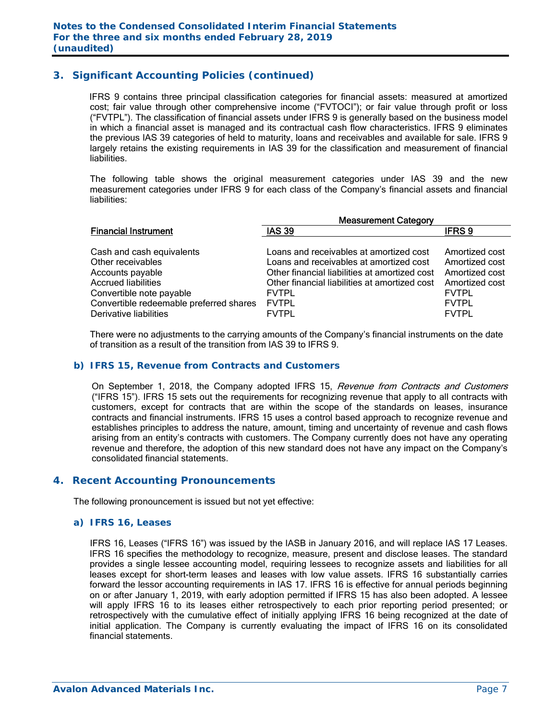## **3. Significant Accounting Policies (continued)**

IFRS 9 contains three principal classification categories for financial assets: measured at amortized cost; fair value through other comprehensive income ("FVTOCI"); or fair value through profit or loss ("FVTPL"). The classification of financial assets under IFRS 9 is generally based on the business model in which a financial asset is managed and its contractual cash flow characteristics. IFRS 9 eliminates the previous IAS 39 categories of held to maturity, loans and receivables and available for sale. IFRS 9 largely retains the existing requirements in IAS 39 for the classification and measurement of financial liabilities.

The following table shows the original measurement categories under IAS 39 and the new measurement categories under IFRS 9 for each class of the Company's financial assets and financial liabilities:

|                                         | <b>Measurement Category</b>                   |                |  |  |  |  |  |  |
|-----------------------------------------|-----------------------------------------------|----------------|--|--|--|--|--|--|
| <b>Financial Instrument</b>             | <b>IAS 39</b>                                 | <b>IFRS9</b>   |  |  |  |  |  |  |
|                                         |                                               |                |  |  |  |  |  |  |
| Cash and cash equivalents               | Loans and receivables at amortized cost       | Amortized cost |  |  |  |  |  |  |
| Other receivables                       | Loans and receivables at amortized cost       | Amortized cost |  |  |  |  |  |  |
| Accounts payable                        | Other financial liabilities at amortized cost | Amortized cost |  |  |  |  |  |  |
| <b>Accrued liabilities</b>              | Other financial liabilities at amortized cost | Amortized cost |  |  |  |  |  |  |
| Convertible note payable                | <b>FVTPL</b>                                  | <b>FVTPL</b>   |  |  |  |  |  |  |
| Convertible redeemable preferred shares | <b>FVTPL</b>                                  | <b>FVTPL</b>   |  |  |  |  |  |  |
| Derivative liabilities                  | <b>FVTPL</b>                                  | <b>FVTPL</b>   |  |  |  |  |  |  |

There were no adjustments to the carrying amounts of the Company's financial instruments on the date of transition as a result of the transition from IAS 39 to IFRS 9.

### *b) IFRS 15, Revenue from Contracts and Customers*

On September 1, 2018, the Company adopted IFRS 15, Revenue from Contracts and Customers ("IFRS 15"). IFRS 15 sets out the requirements for recognizing revenue that apply to all contracts with customers, except for contracts that are within the scope of the standards on leases, insurance contracts and financial instruments. IFRS 15 uses a control based approach to recognize revenue and establishes principles to address the nature, amount, timing and uncertainty of revenue and cash flows arising from an entity's contracts with customers. The Company currently does not have any operating revenue and therefore, the adoption of this new standard does not have any impact on the Company's consolidated financial statements.

### **4. Recent Accounting Pronouncements**

The following pronouncement is issued but not yet effective:

### *a) IFRS 16, Leases*

 IFRS 16, Leases ("IFRS 16") was issued by the IASB in January 2016, and will replace IAS 17 Leases. IFRS 16 specifies the methodology to recognize, measure, present and disclose leases. The standard provides a single lessee accounting model, requiring lessees to recognize assets and liabilities for all leases except for short-term leases and leases with low value assets. IFRS 16 substantially carries forward the lessor accounting requirements in IAS 17. IFRS 16 is effective for annual periods beginning on or after January 1, 2019, with early adoption permitted if IFRS 15 has also been adopted. A lessee will apply IFRS 16 to its leases either retrospectively to each prior reporting period presented; or retrospectively with the cumulative effect of initially applying IFRS 16 being recognized at the date of initial application. The Company is currently evaluating the impact of IFRS 16 on its consolidated financial statements.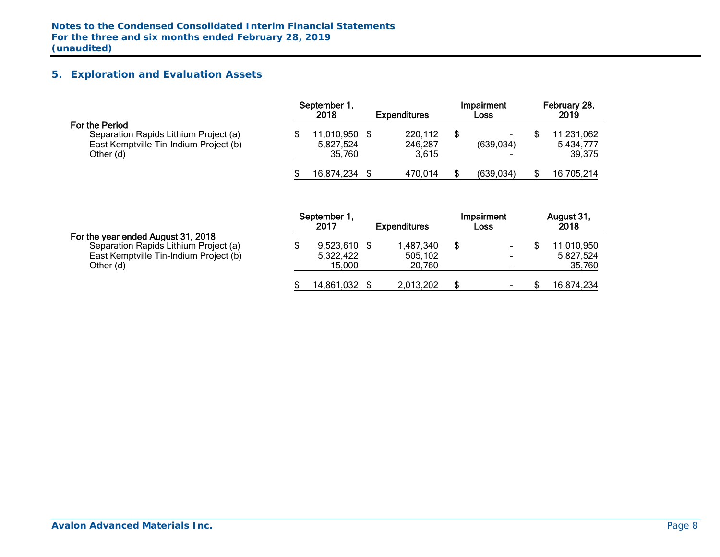# **5. Exploration and Evaluation Assets**

|                                                                                                                | September 1,<br>2018                 | <b>Expenditures</b>         | <b>Impairment</b><br>Loss | February 28,<br>2019              |
|----------------------------------------------------------------------------------------------------------------|--------------------------------------|-----------------------------|---------------------------|-----------------------------------|
| For the Period<br>Separation Rapids Lithium Project (a)<br>East Kemptville Tin-Indium Project (b)<br>Other (d) | 11,010,950 \$<br>5,827,524<br>35.760 | 220,112<br>246,287<br>3.615 | (639,034)                 | 11,231,062<br>5,434,777<br>39,375 |
|                                                                                                                | 16,874,234                           | 470.014                     | (639, 034)                | 16,705,214                        |

|                                                                                                                                    | September 1<br>2017                   | <b>Expenditures</b>            | Impairment<br>Loss                              | August 31,<br>2018               |
|------------------------------------------------------------------------------------------------------------------------------------|---------------------------------------|--------------------------------|-------------------------------------------------|----------------------------------|
| For the year ended August 31, 2018<br>Separation Rapids Lithium Project (a)<br>East Kemptville Tin-Indium Project (b)<br>Other (d) | $9,523,610$ \$<br>5,322,422<br>15,000 | 1,487,340<br>505.102<br>20,760 | ۰<br>$\blacksquare$<br>$\overline{\phantom{0}}$ | 1.010.950<br>5,827,524<br>35,760 |
|                                                                                                                                    | 14,861,032                            | 2,013,202                      | $\overline{\phantom{0}}$                        | 16,874,234                       |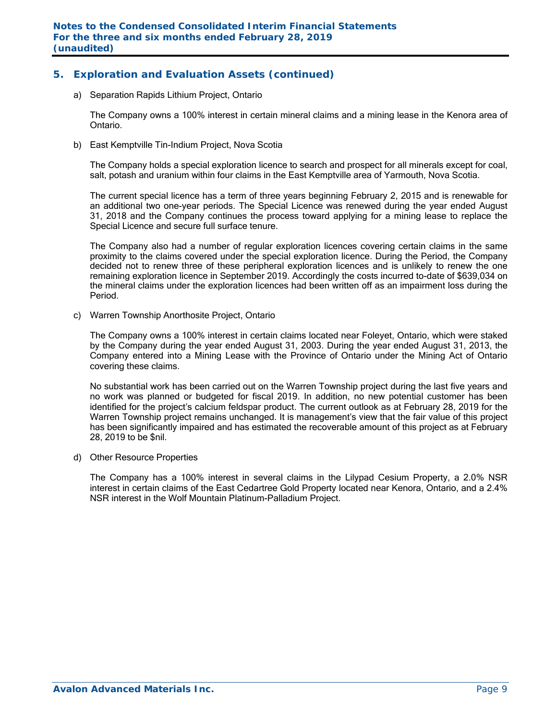# **5. Exploration and Evaluation Assets (continued)**

a) Separation Rapids Lithium Project, Ontario

The Company owns a 100% interest in certain mineral claims and a mining lease in the Kenora area of Ontario.

b) East Kemptville Tin-Indium Project, Nova Scotia

The Company holds a special exploration licence to search and prospect for all minerals except for coal, salt, potash and uranium within four claims in the East Kemptville area of Yarmouth, Nova Scotia.

The current special licence has a term of three years beginning February 2, 2015 and is renewable for an additional two one-year periods. The Special Licence was renewed during the year ended August 31, 2018 and the Company continues the process toward applying for a mining lease to replace the Special Licence and secure full surface tenure.

The Company also had a number of regular exploration licences covering certain claims in the same proximity to the claims covered under the special exploration licence. During the Period, the Company decided not to renew three of these peripheral exploration licences and is unlikely to renew the one remaining exploration licence in September 2019. Accordingly the costs incurred to-date of \$639,034 on the mineral claims under the exploration licences had been written off as an impairment loss during the Period.

c) Warren Township Anorthosite Project, Ontario

The Company owns a 100% interest in certain claims located near Foleyet, Ontario, which were staked by the Company during the year ended August 31, 2003. During the year ended August 31, 2013, the Company entered into a Mining Lease with the Province of Ontario under the Mining Act of Ontario covering these claims.

No substantial work has been carried out on the Warren Township project during the last five years and no work was planned or budgeted for fiscal 2019. In addition, no new potential customer has been identified for the project's calcium feldspar product. The current outlook as at February 28, 2019 for the Warren Township project remains unchanged. It is management's view that the fair value of this project has been significantly impaired and has estimated the recoverable amount of this project as at February 28, 2019 to be \$nil.

d) Other Resource Properties

The Company has a 100% interest in several claims in the Lilypad Cesium Property, a 2.0% NSR interest in certain claims of the East Cedartree Gold Property located near Kenora, Ontario, and a 2.4% NSR interest in the Wolf Mountain Platinum-Palladium Project.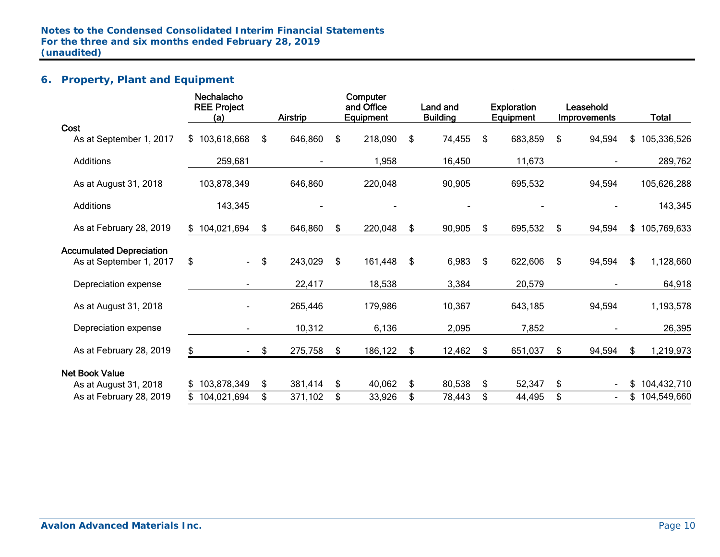# **6. Property, Plant and Equipment**

|                                 | Nechalacho<br><b>REE Project</b><br>(a) |        | <b>Airstrip</b> | Computer<br>and Office<br>Equipment | Land and<br><b>Building</b> |    | <b>Exploration</b><br><b>Equipment</b> | Leasehold<br><b>Improvements</b> |     | <b>Total</b>  |
|---------------------------------|-----------------------------------------|--------|-----------------|-------------------------------------|-----------------------------|----|----------------------------------------|----------------------------------|-----|---------------|
| Cost                            |                                         |        |                 |                                     |                             |    |                                        |                                  |     |               |
| As at September 1, 2017         | \$103,618,668                           | \$     | 646,860         | \$<br>218,090                       | \$<br>74,455                | \$ | 683,859                                | \$<br>94,594                     |     | \$105,336,526 |
| Additions                       | 259,681                                 |        |                 | 1,958                               | 16,450                      |    | 11,673                                 |                                  |     | 289,762       |
| As at August 31, 2018           | 103,878,349                             |        | 646,860         | 220,048                             | 90,905                      |    | 695,532                                | 94,594                           |     | 105,626,288   |
| <b>Additions</b>                | 143,345                                 |        |                 |                                     |                             |    | $\blacksquare$                         |                                  |     | 143,345       |
| As at February 28, 2019         | \$104,021,694                           | \$     | 646,860         | \$<br>220,048                       | \$<br>90,905                | \$ | 695,532                                | \$<br>94,594                     |     | \$105,769,633 |
| <b>Accumulated Depreciation</b> |                                         |        |                 |                                     |                             |    |                                        |                                  |     |               |
| As at September 1, 2017         | \$<br>$\blacksquare$                    | \$     | 243,029         | \$<br>161,448                       | \$<br>6,983                 | \$ | 622,606                                | \$<br>94,594                     | \$. | 1,128,660     |
| Depreciation expense            |                                         |        | 22,417          | 18,538                              | 3,384                       |    | 20,579                                 |                                  |     | 64,918        |
| As at August 31, 2018           |                                         |        | 265,446         | 179,986                             | 10,367                      |    | 643,185                                | 94,594                           |     | 1,193,578     |
| Depreciation expense            |                                         |        | 10,312          | 6,136                               | 2,095                       |    | 7,852                                  |                                  |     | 26,395        |
| As at February 28, 2019         | \$                                      | $-$ \$ | 275,758         | \$<br>186,122                       | \$<br>12,462                | S. | 651,037                                | \$<br>94,594                     | \$. | 1,219,973     |
| <b>Net Book Value</b>           |                                         |        |                 |                                     |                             |    |                                        |                                  |     |               |
| As at August 31, 2018           | \$103,878,349                           | \$     | 381,414         | \$<br>40,062                        | \$<br>80,538                | S. | 52,347                                 | \$                               | \$  | 104,432,710   |
| As at February 28, 2019         | 104,021,694                             | \$     | 371,102         | \$<br>33,926                        | \$<br>78,443                | \$ | 44,495                                 | \$                               |     | \$104,549,660 |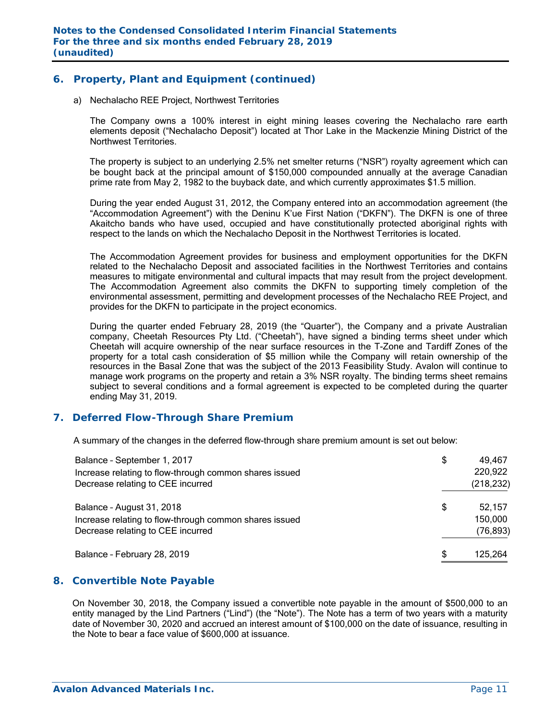### **6. Property, Plant and Equipment (continued)**

a) Nechalacho REE Project, Northwest Territories

The Company owns a 100% interest in eight mining leases covering the Nechalacho rare earth elements deposit ("Nechalacho Deposit") located at Thor Lake in the Mackenzie Mining District of the Northwest Territories.

The property is subject to an underlying 2.5% net smelter returns ("NSR") royalty agreement which can be bought back at the principal amount of \$150,000 compounded annually at the average Canadian prime rate from May 2, 1982 to the buyback date, and which currently approximates \$1.5 million.

During the year ended August 31, 2012, the Company entered into an accommodation agreement (the "Accommodation Agreement") with the Deninu K'ue First Nation ("DKFN"). The DKFN is one of three Akaitcho bands who have used, occupied and have constitutionally protected aboriginal rights with respect to the lands on which the Nechalacho Deposit in the Northwest Territories is located.

The Accommodation Agreement provides for business and employment opportunities for the DKFN related to the Nechalacho Deposit and associated facilities in the Northwest Territories and contains measures to mitigate environmental and cultural impacts that may result from the project development. The Accommodation Agreement also commits the DKFN to supporting timely completion of the environmental assessment, permitting and development processes of the Nechalacho REE Project, and provides for the DKFN to participate in the project economics.

During the quarter ended February 28, 2019 (the "Quarter"), the Company and a private Australian company, Cheetah Resources Pty Ltd. ("Cheetah"), have signed a binding terms sheet under which Cheetah will acquire ownership of the near surface resources in the T-Zone and Tardiff Zones of the property for a total cash consideration of \$5 million while the Company will retain ownership of the resources in the Basal Zone that was the subject of the 2013 Feasibility Study. Avalon will continue to manage work programs on the property and retain a 3% NSR royalty. The binding terms sheet remains subject to several conditions and a formal agreement is expected to be completed during the quarter ending May 31, 2019.

### **7. Deferred Flow-Through Share Premium**

A summary of the changes in the deferred flow-through share premium amount is set out below:

| Balance - September 1, 2017                            | \$<br>49,467  |
|--------------------------------------------------------|---------------|
| Increase relating to flow-through common shares issued | 220,922       |
| Decrease relating to CEE incurred                      | (218, 232)    |
| Balance - August 31, 2018                              | \$<br>52,157  |
| Increase relating to flow-through common shares issued | 150,000       |
| Decrease relating to CEE incurred                      | (76, 893)     |
| Balance - February 28, 2019                            | \$<br>125,264 |

### **8. Convertible Note Payable**

On November 30, 2018, the Company issued a convertible note payable in the amount of \$500,000 to an entity managed by the Lind Partners ("Lind") (the "Note"). The Note has a term of two years with a maturity date of November 30, 2020 and accrued an interest amount of \$100,000 on the date of issuance, resulting in the Note to bear a face value of \$600,000 at issuance.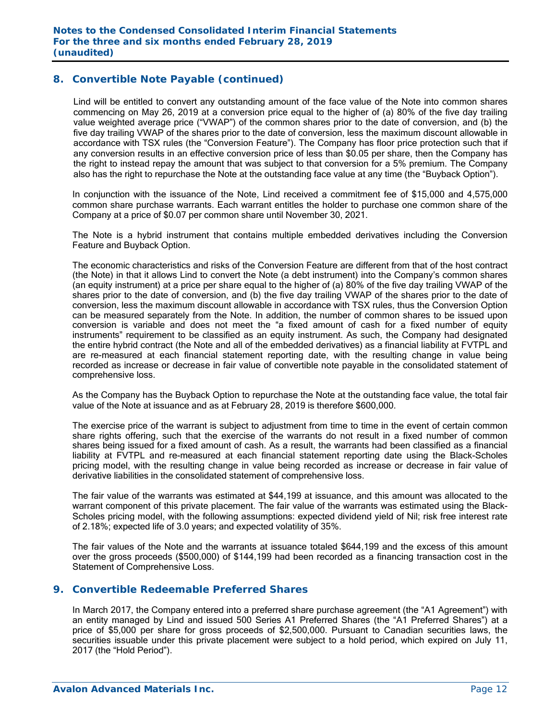### **8. Convertible Note Payable (continued)**

Lind will be entitled to convert any outstanding amount of the face value of the Note into common shares commencing on May 26, 2019 at a conversion price equal to the higher of (a) 80% of the five day trailing value weighted average price ("VWAP") of the common shares prior to the date of conversion, and (b) the five day trailing VWAP of the shares prior to the date of conversion, less the maximum discount allowable in accordance with TSX rules (the "Conversion Feature"). The Company has floor price protection such that if any conversion results in an effective conversion price of less than \$0.05 per share, then the Company has the right to instead repay the amount that was subject to that conversion for a 5% premium. The Company also has the right to repurchase the Note at the outstanding face value at any time (the "Buyback Option").

In conjunction with the issuance of the Note, Lind received a commitment fee of \$15,000 and 4,575,000 common share purchase warrants. Each warrant entitles the holder to purchase one common share of the Company at a price of \$0.07 per common share until November 30, 2021.

The Note is a hybrid instrument that contains multiple embedded derivatives including the Conversion Feature and Buyback Option.

The economic characteristics and risks of the Conversion Feature are different from that of the host contract (the Note) in that it allows Lind to convert the Note (a debt instrument) into the Company's common shares (an equity instrument) at a price per share equal to the higher of (a) 80% of the five day trailing VWAP of the shares prior to the date of conversion, and (b) the five day trailing VWAP of the shares prior to the date of conversion, less the maximum discount allowable in accordance with TSX rules, thus the Conversion Option can be measured separately from the Note. In addition, the number of common shares to be issued upon conversion is variable and does not meet the "a fixed amount of cash for a fixed number of equity instruments" requirement to be classified as an equity instrument. As such, the Company had designated the entire hybrid contract (the Note and all of the embedded derivatives) as a financial liability at FVTPL and are re-measured at each financial statement reporting date, with the resulting change in value being recorded as increase or decrease in fair value of convertible note payable in the consolidated statement of comprehensive loss.

As the Company has the Buyback Option to repurchase the Note at the outstanding face value, the total fair value of the Note at issuance and as at February 28, 2019 is therefore \$600,000.

The exercise price of the warrant is subject to adjustment from time to time in the event of certain common share rights offering, such that the exercise of the warrants do not result in a fixed number of common shares being issued for a fixed amount of cash. As a result, the warrants had been classified as a financial liability at FVTPL and re-measured at each financial statement reporting date using the Black-Scholes pricing model, with the resulting change in value being recorded as increase or decrease in fair value of derivative liabilities in the consolidated statement of comprehensive loss.

The fair value of the warrants was estimated at \$44,199 at issuance, and this amount was allocated to the warrant component of this private placement. The fair value of the warrants was estimated using the Black-Scholes pricing model, with the following assumptions: expected dividend yield of Nil; risk free interest rate of 2.18%; expected life of 3.0 years; and expected volatility of 35%.

The fair values of the Note and the warrants at issuance totaled \$644,199 and the excess of this amount over the gross proceeds (\$500,000) of \$144,199 had been recorded as a financing transaction cost in the Statement of Comprehensive Loss.

### **9. Convertible Redeemable Preferred Shares**

In March 2017, the Company entered into a preferred share purchase agreement (the "A1 Agreement") with an entity managed by Lind and issued 500 Series A1 Preferred Shares (the "A1 Preferred Shares") at a price of \$5,000 per share for gross proceeds of \$2,500,000. Pursuant to Canadian securities laws, the securities issuable under this private placement were subject to a hold period, which expired on July 11, 2017 (the "Hold Period").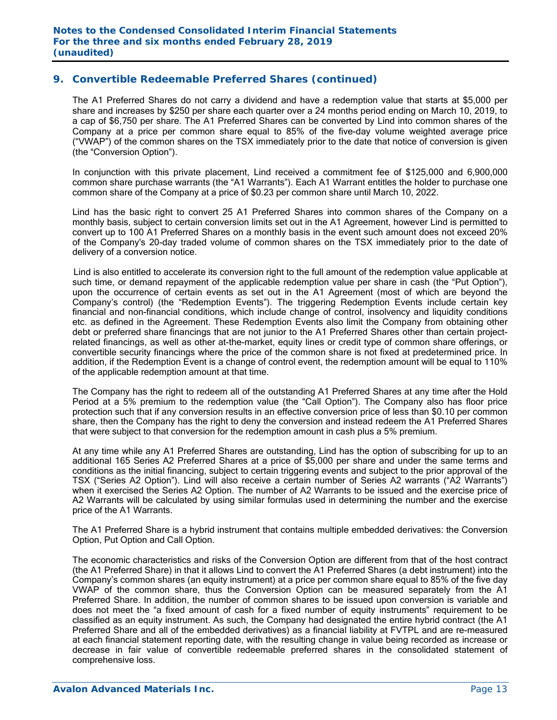The A1 Preferred Shares do not carry a dividend and have a redemption value that starts at \$5,000 per share and increases by \$250 per share each quarter over a 24 months period ending on March 10, 2019, to a cap of \$6,750 per share. The A1 Preferred Shares can be converted by Lind into common shares of the Company at a price per common share equal to 85% of the five-day volume weighted average price ("VWAP") of the common shares on the TSX immediately prior to the date that notice of conversion is given (the "Conversion Option").

In conjunction with this private placement, Lind received a commitment fee of \$125,000 and 6,900,000 common share purchase warrants (the "A1 Warrants"). Each A1 Warrant entitles the holder to purchase one common share of the Company at a price of \$0.23 per common share until March 10, 2022.

Lind has the basic right to convert 25 A1 Preferred Shares into common shares of the Company on a monthly basis, subject to certain conversion limits set out in the A1 Agreement, however Lind is permitted to convert up to 100 A1 Preferred Shares on a monthly basis in the event such amount does not exceed 20% of the Company's 20-day traded volume of common shares on the TSX immediately prior to the date of delivery of a conversion notice.

 Lind is also entitled to accelerate its conversion right to the full amount of the redemption value applicable at such time, or demand repayment of the applicable redemption value per share in cash (the "Put Option"), upon the occurrence of certain events as set out in the A1 Agreement (most of which are beyond the Company's control) (the "Redemption Events"). The triggering Redemption Events include certain key financial and non-financial conditions, which include change of control, insolvency and liquidity conditions etc. as defined in the Agreement. These Redemption Events also limit the Company from obtaining other debt or preferred share financings that are not junior to the A1 Preferred Shares other than certain projectrelated financings, as well as other at-the-market, equity lines or credit type of common share offerings, or convertible security financings where the price of the common share is not fixed at predetermined price. In addition, if the Redemption Event is a change of control event, the redemption amount will be equal to 110% of the applicable redemption amount at that time.

The Company has the right to redeem all of the outstanding A1 Preferred Shares at any time after the Hold Period at a 5% premium to the redemption value (the "Call Option"). The Company also has floor price protection such that if any conversion results in an effective conversion price of less than \$0.10 per common share, then the Company has the right to deny the conversion and instead redeem the A1 Preferred Shares that were subject to that conversion for the redemption amount in cash plus a 5% premium.

At any time while any A1 Preferred Shares are outstanding, Lind has the option of subscribing for up to an additional 165 Series A2 Preferred Shares at a price of \$5,000 per share and under the same terms and conditions as the initial financing, subject to certain triggering events and subject to the prior approval of the TSX ("Series A2 Option"). Lind will also receive a certain number of Series A2 warrants ("A2 Warrants") when it exercised the Series A2 Option. The number of A2 Warrants to be issued and the exercise price of A2 Warrants will be calculated by using similar formulas used in determining the number and the exercise price of the A1 Warrants.

The A1 Preferred Share is a hybrid instrument that contains multiple embedded derivatives: the Conversion Option, Put Option and Call Option.

The economic characteristics and risks of the Conversion Option are different from that of the host contract (the A1 Preferred Share) in that it allows Lind to convert the A1 Preferred Shares (a debt instrument) into the Company's common shares (an equity instrument) at a price per common share equal to 85% of the five day VWAP of the common share, thus the Conversion Option can be measured separately from the A1 Preferred Share. In addition, the number of common shares to be issued upon conversion is variable and does not meet the "a fixed amount of cash for a fixed number of equity instruments" requirement to be classified as an equity instrument. As such, the Company had designated the entire hybrid contract (the A1 Preferred Share and all of the embedded derivatives) as a financial liability at FVTPL and are re-measured at each financial statement reporting date, with the resulting change in value being recorded as increase or decrease in fair value of convertible redeemable preferred shares in the consolidated statement of comprehensive loss.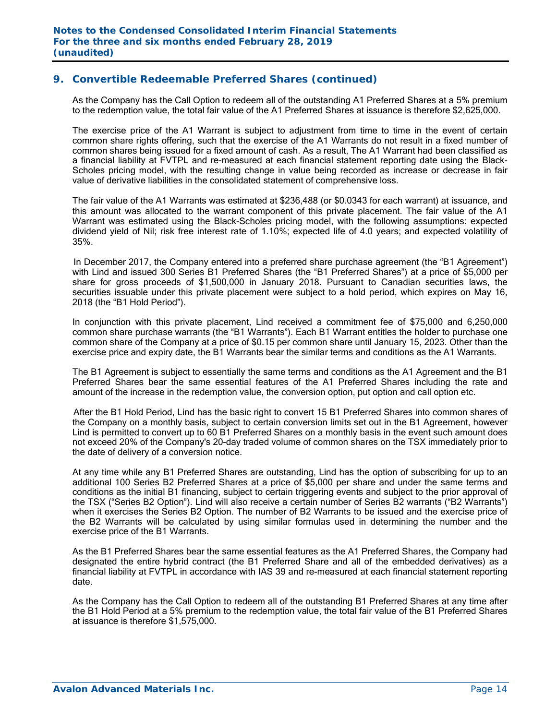As the Company has the Call Option to redeem all of the outstanding A1 Preferred Shares at a 5% premium to the redemption value, the total fair value of the A1 Preferred Shares at issuance is therefore \$2,625,000.

The exercise price of the A1 Warrant is subject to adjustment from time to time in the event of certain common share rights offering, such that the exercise of the A1 Warrants do not result in a fixed number of common shares being issued for a fixed amount of cash. As a result, The A1 Warrant had been classified as a financial liability at FVTPL and re-measured at each financial statement reporting date using the Black-Scholes pricing model, with the resulting change in value being recorded as increase or decrease in fair value of derivative liabilities in the consolidated statement of comprehensive loss.

 The fair value of the A1 Warrants was estimated at \$236,488 (or \$0.0343 for each warrant) at issuance, and this amount was allocated to the warrant component of this private placement. The fair value of the A1 Warrant was estimated using the Black-Scholes pricing model, with the following assumptions: expected dividend yield of Nil; risk free interest rate of 1.10%; expected life of 4.0 years; and expected volatility of 35%.

 In December 2017, the Company entered into a preferred share purchase agreement (the "B1 Agreement") with Lind and issued 300 Series B1 Preferred Shares (the "B1 Preferred Shares") at a price of \$5,000 per share for gross proceeds of \$1,500,000 in January 2018. Pursuant to Canadian securities laws, the securities issuable under this private placement were subject to a hold period, which expires on May 16, 2018 (the "B1 Hold Period").

In conjunction with this private placement, Lind received a commitment fee of \$75,000 and 6,250,000 common share purchase warrants (the "B1 Warrants"). Each B1 Warrant entitles the holder to purchase one common share of the Company at a price of \$0.15 per common share until January 15, 2023. Other than the exercise price and expiry date, the B1 Warrants bear the similar terms and conditions as the A1 Warrants.

The B1 Agreement is subject to essentially the same terms and conditions as the A1 Agreement and the B1 Preferred Shares bear the same essential features of the A1 Preferred Shares including the rate and amount of the increase in the redemption value, the conversion option, put option and call option etc.

 After the B1 Hold Period, Lind has the basic right to convert 15 B1 Preferred Shares into common shares of the Company on a monthly basis, subject to certain conversion limits set out in the B1 Agreement, however Lind is permitted to convert up to 60 B1 Preferred Shares on a monthly basis in the event such amount does not exceed 20% of the Company's 20-day traded volume of common shares on the TSX immediately prior to the date of delivery of a conversion notice.

At any time while any B1 Preferred Shares are outstanding, Lind has the option of subscribing for up to an additional 100 Series B2 Preferred Shares at a price of \$5,000 per share and under the same terms and conditions as the initial B1 financing, subject to certain triggering events and subject to the prior approval of the TSX ("Series B2 Option"). Lind will also receive a certain number of Series B2 warrants ("B2 Warrants") when it exercises the Series B2 Option. The number of B2 Warrants to be issued and the exercise price of the B2 Warrants will be calculated by using similar formulas used in determining the number and the exercise price of the B1 Warrants.

As the B1 Preferred Shares bear the same essential features as the A1 Preferred Shares, the Company had designated the entire hybrid contract (the B1 Preferred Share and all of the embedded derivatives) as a financial liability at FVTPL in accordance with IAS 39 and re-measured at each financial statement reporting date.

As the Company has the Call Option to redeem all of the outstanding B1 Preferred Shares at any time after the B1 Hold Period at a 5% premium to the redemption value, the total fair value of the B1 Preferred Shares at issuance is therefore \$1,575,000.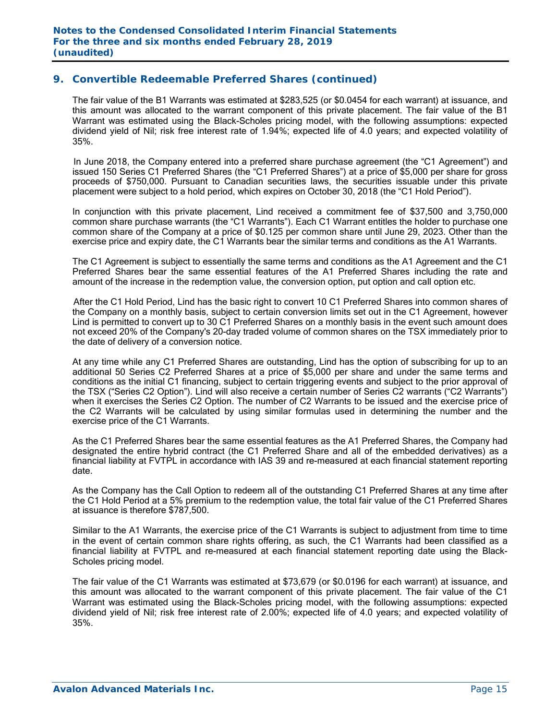The fair value of the B1 Warrants was estimated at \$283,525 (or \$0.0454 for each warrant) at issuance, and this amount was allocated to the warrant component of this private placement. The fair value of the B1 Warrant was estimated using the Black-Scholes pricing model, with the following assumptions: expected dividend yield of Nil; risk free interest rate of 1.94%; expected life of 4.0 years; and expected volatility of 35%.

 In June 2018, the Company entered into a preferred share purchase agreement (the "C1 Agreement") and issued 150 Series C1 Preferred Shares (the "C1 Preferred Shares") at a price of \$5,000 per share for gross proceeds of \$750,000. Pursuant to Canadian securities laws, the securities issuable under this private placement were subject to a hold period, which expires on October 30, 2018 (the "C1 Hold Period").

In conjunction with this private placement, Lind received a commitment fee of \$37,500 and 3,750,000 common share purchase warrants (the "C1 Warrants"). Each C1 Warrant entitles the holder to purchase one common share of the Company at a price of \$0.125 per common share until June 29, 2023. Other than the exercise price and expiry date, the C1 Warrants bear the similar terms and conditions as the A1 Warrants.

The C1 Agreement is subject to essentially the same terms and conditions as the A1 Agreement and the C1 Preferred Shares bear the same essential features of the A1 Preferred Shares including the rate and amount of the increase in the redemption value, the conversion option, put option and call option etc.

 After the C1 Hold Period, Lind has the basic right to convert 10 C1 Preferred Shares into common shares of the Company on a monthly basis, subject to certain conversion limits set out in the C1 Agreement, however Lind is permitted to convert up to 30 C1 Preferred Shares on a monthly basis in the event such amount does not exceed 20% of the Company's 20-day traded volume of common shares on the TSX immediately prior to the date of delivery of a conversion notice.

At any time while any C1 Preferred Shares are outstanding, Lind has the option of subscribing for up to an additional 50 Series C2 Preferred Shares at a price of \$5,000 per share and under the same terms and conditions as the initial C1 financing, subject to certain triggering events and subject to the prior approval of the TSX ("Series C2 Option"). Lind will also receive a certain number of Series C2 warrants ("C2 Warrants") when it exercises the Series C2 Option. The number of C2 Warrants to be issued and the exercise price of the C2 Warrants will be calculated by using similar formulas used in determining the number and the exercise price of the C1 Warrants.

As the C1 Preferred Shares bear the same essential features as the A1 Preferred Shares, the Company had designated the entire hybrid contract (the C1 Preferred Share and all of the embedded derivatives) as a financial liability at FVTPL in accordance with IAS 39 and re-measured at each financial statement reporting date.

As the Company has the Call Option to redeem all of the outstanding C1 Preferred Shares at any time after the C1 Hold Period at a 5% premium to the redemption value, the total fair value of the C1 Preferred Shares at issuance is therefore \$787,500.

Similar to the A1 Warrants, the exercise price of the C1 Warrants is subject to adjustment from time to time in the event of certain common share rights offering, as such, the C1 Warrants had been classified as a financial liability at FVTPL and re-measured at each financial statement reporting date using the Black-Scholes pricing model.

 The fair value of the C1 Warrants was estimated at \$73,679 (or \$0.0196 for each warrant) at issuance, and this amount was allocated to the warrant component of this private placement. The fair value of the C1 Warrant was estimated using the Black-Scholes pricing model, with the following assumptions: expected dividend yield of Nil; risk free interest rate of 2.00%; expected life of 4.0 years; and expected volatility of 35%.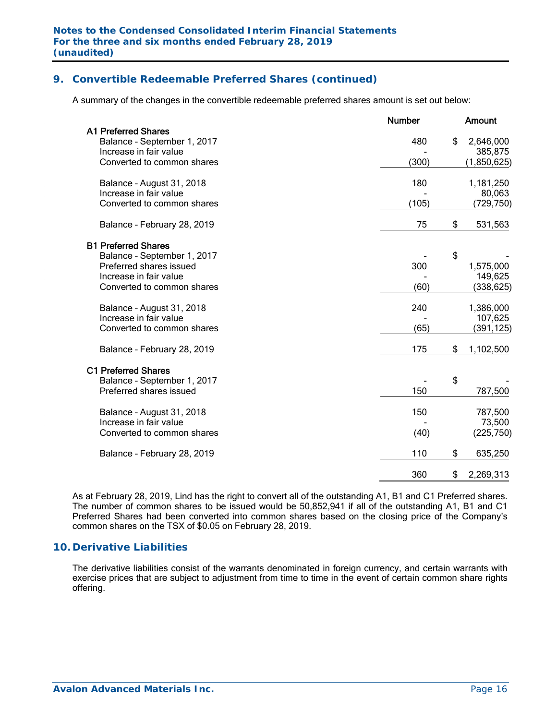A summary of the changes in the convertible redeemable preferred shares amount is set out below:

| <b>A1 Preferred Shares</b><br>480<br>\$<br>Balance - September 1, 2017<br>Increase in fair value<br>Converted to common shares<br>(300)<br>180<br>Balance - August 31, 2018<br>Increase in fair value<br>(105)<br>Converted to common shares<br>\$<br>75<br>Balance - February 28, 2019<br><b>B1 Preferred Shares</b> | <b>Amount</b>         |
|-----------------------------------------------------------------------------------------------------------------------------------------------------------------------------------------------------------------------------------------------------------------------------------------------------------------------|-----------------------|
|                                                                                                                                                                                                                                                                                                                       | 2,646,000<br>385,875  |
|                                                                                                                                                                                                                                                                                                                       | (1,850,625)           |
|                                                                                                                                                                                                                                                                                                                       | 1,181,250<br>80,063   |
|                                                                                                                                                                                                                                                                                                                       | (729, 750)            |
|                                                                                                                                                                                                                                                                                                                       | 531,563               |
|                                                                                                                                                                                                                                                                                                                       |                       |
| \$<br>Balance - September 1, 2017<br>Preferred shares issued<br>300                                                                                                                                                                                                                                                   | 1,575,000             |
| Increase in fair value<br>(60)<br>Converted to common shares                                                                                                                                                                                                                                                          | 149,625<br>(338, 625) |
| 240<br>Balance - August 31, 2018                                                                                                                                                                                                                                                                                      | 1,386,000             |
| Increase in fair value<br>(65)<br>Converted to common shares                                                                                                                                                                                                                                                          | 107,625<br>(391,125)  |
| 175<br>\$<br>Balance - February 28, 2019                                                                                                                                                                                                                                                                              | 1,102,500             |
| <b>C1 Preferred Shares</b>                                                                                                                                                                                                                                                                                            |                       |
| \$<br>Balance - September 1, 2017<br>150<br>Preferred shares issued                                                                                                                                                                                                                                                   | 787,500               |
| 150<br>Balance - August 31, 2018                                                                                                                                                                                                                                                                                      | 787,500               |
| Increase in fair value<br>(40)<br>Converted to common shares                                                                                                                                                                                                                                                          | 73,500<br>(225,750)   |
| 110<br>\$<br>Balance - February 28, 2019                                                                                                                                                                                                                                                                              | 635,250               |
| 360<br>\$                                                                                                                                                                                                                                                                                                             | 2,269,313             |

As at February 28, 2019, Lind has the right to convert all of the outstanding A1, B1 and C1 Preferred shares. The number of common shares to be issued would be 50,852,941 if all of the outstanding A1, B1 and C1 Preferred Shares had been converted into common shares based on the closing price of the Company's common shares on the TSX of \$0.05 on February 28, 2019.

### **10. Derivative Liabilities**

The derivative liabilities consist of the warrants denominated in foreign currency, and certain warrants with exercise prices that are subject to adjustment from time to time in the event of certain common share rights offering.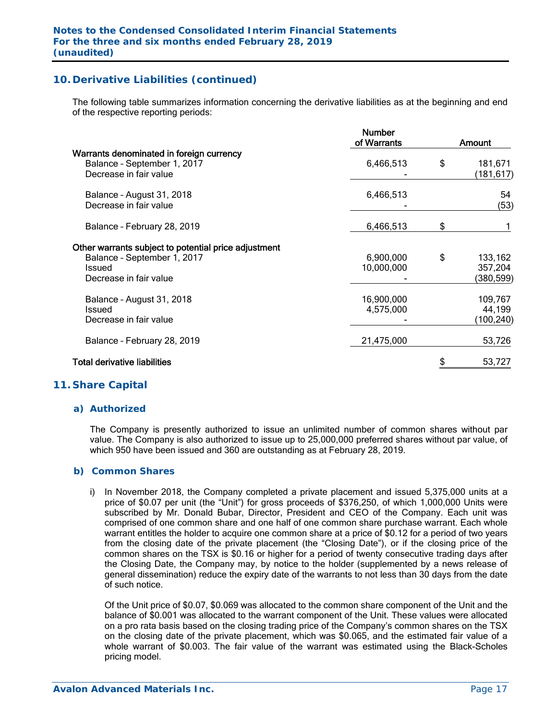# **10. Derivative Liabilities (continued)**

The following table summarizes information concerning the derivative liabilities as at the beginning and end of the respective reporting periods:

|                                                                                                                         | <b>Number</b><br>of Warrants | Amount                                |
|-------------------------------------------------------------------------------------------------------------------------|------------------------------|---------------------------------------|
| Warrants denominated in foreign currency<br>Balance - September 1, 2017<br>Decrease in fair value                       | 6,466,513                    | \$<br>181,671<br>(181,617)            |
| Balance - August 31, 2018<br>Decrease in fair value                                                                     | 6,466,513                    | 54<br>(53)                            |
| Balance - February 28, 2019                                                                                             | 6,466,513                    | \$                                    |
| Other warrants subject to potential price adjustment<br>Balance - September 1, 2017<br>Issued<br>Decrease in fair value | 6,900,000<br>10,000,000      | \$<br>133,162<br>357,204<br>(380,599) |
| Balance - August 31, 2018<br>Issued<br>Decrease in fair value                                                           | 16,900,000<br>4,575,000      | 109,767<br>44,199<br>(100, 240)       |
| Balance - February 28, 2019                                                                                             | 21,475,000                   | 53,726                                |
| <b>Total derivative liabilities</b>                                                                                     |                              | 53,727                                |
|                                                                                                                         |                              |                                       |

### **11. Share Capital**

### *a) Authorized*

The Company is presently authorized to issue an unlimited number of common shares without par value. The Company is also authorized to issue up to 25,000,000 preferred shares without par value, of which 950 have been issued and 360 are outstanding as at February 28, 2019.

### *b) Common Shares*

i) In November 2018, the Company completed a private placement and issued 5,375,000 units at a price of \$0.07 per unit (the "Unit") for gross proceeds of \$376,250, of which 1,000,000 Units were subscribed by Mr. Donald Bubar, Director, President and CEO of the Company. Each unit was comprised of one common share and one half of one common share purchase warrant. Each whole warrant entitles the holder to acquire one common share at a price of \$0.12 for a period of two years from the closing date of the private placement (the "Closing Date"), or if the closing price of the common shares on the TSX is \$0.16 or higher for a period of twenty consecutive trading days after the Closing Date, the Company may, by notice to the holder (supplemented by a news release of general dissemination) reduce the expiry date of the warrants to not less than 30 days from the date of such notice.

Of the Unit price of \$0.07, \$0.069 was allocated to the common share component of the Unit and the balance of \$0.001 was allocated to the warrant component of the Unit. These values were allocated on a pro rata basis based on the closing trading price of the Company's common shares on the TSX on the closing date of the private placement, which was \$0.065, and the estimated fair value of a whole warrant of \$0.003. The fair value of the warrant was estimated using the Black-Scholes pricing model.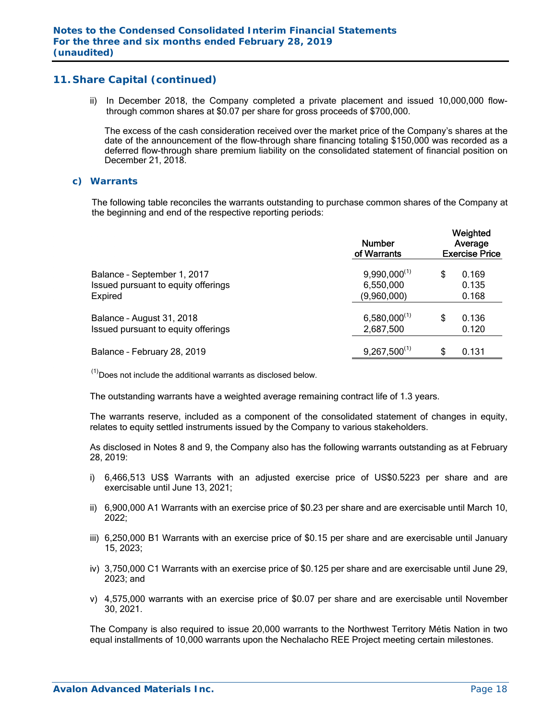ii) In December 2018, the Company completed a private placement and issued 10,000,000 flowthrough common shares at \$0.07 per share for gross proceeds of \$700,000.

 The excess of the cash consideration received over the market price of the Company's shares at the date of the announcement of the flow-through share financing totaling \$150,000 was recorded as a deferred flow-through share premium liability on the consolidated statement of financial position on December 21, 2018.

#### *c) Warrants*

The following table reconciles the warrants outstanding to purchase common shares of the Company at the beginning and end of the respective reporting periods:

|                                                                               | <b>Number</b><br>of Warrants                  | Weighted<br>Average<br><b>Exercise Price</b> |  |
|-------------------------------------------------------------------------------|-----------------------------------------------|----------------------------------------------|--|
| Balance - September 1, 2017<br>Issued pursuant to equity offerings<br>Expired | $9,990,000^{(1)}$<br>6,550,000<br>(9,960,000) | \$<br>0.169<br>0.135<br>0.168                |  |
| Balance - August 31, 2018<br>Issued pursuant to equity offerings              | $6,580,000^{(1)}$<br>2,687,500                | \$<br>0.136<br>0.120                         |  |
| Balance - February 28, 2019                                                   | $9,267,500^{(1)}$                             | 0.131                                        |  |

 $<sup>(1)</sup>$  Does not include the additional warrants as disclosed below.</sup>

The outstanding warrants have a weighted average remaining contract life of 1.3 years.

The warrants reserve, included as a component of the consolidated statement of changes in equity, relates to equity settled instruments issued by the Company to various stakeholders.

As disclosed in Notes 8 and 9, the Company also has the following warrants outstanding as at February 28, 2019:

- i) 6,466,513 US\$ Warrants with an adjusted exercise price of US\$0.5223 per share and are exercisable until June 13, 2021;
- ii) 6,900,000 A1 Warrants with an exercise price of \$0.23 per share and are exercisable until March 10, 2022;
- iii) 6,250,000 B1 Warrants with an exercise price of \$0.15 per share and are exercisable until January 15, 2023;
- iv) 3,750,000 C1 Warrants with an exercise price of \$0.125 per share and are exercisable until June 29, 2023; and
- v) 4,575,000 warrants with an exercise price of \$0.07 per share and are exercisable until November 30, 2021.

The Company is also required to issue 20,000 warrants to the Northwest Territory Métis Nation in two equal installments of 10,000 warrants upon the Nechalacho REE Project meeting certain milestones.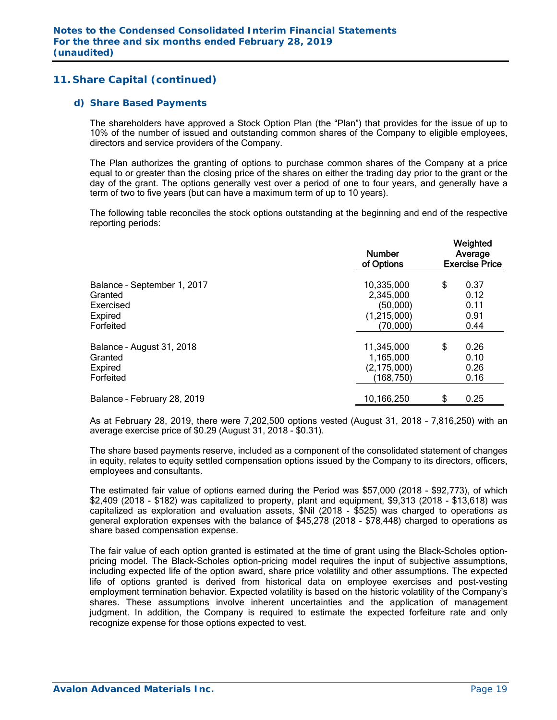### *d) Share Based Payments*

The shareholders have approved a Stock Option Plan (the "Plan") that provides for the issue of up to 10% of the number of issued and outstanding common shares of the Company to eligible employees, directors and service providers of the Company.

The Plan authorizes the granting of options to purchase common shares of the Company at a price equal to or greater than the closing price of the shares on either the trading day prior to the grant or the day of the grant. The options generally vest over a period of one to four years, and generally have a term of two to five years (but can have a maximum term of up to 10 years).

The following table reconciles the stock options outstanding at the beginning and end of the respective reporting periods:

|                             | <b>Number</b><br>of Options | Weighted<br>Average<br><b>Exercise Price</b> |      |  |  |  |
|-----------------------------|-----------------------------|----------------------------------------------|------|--|--|--|
| Balance - September 1, 2017 | 10,335,000                  | \$                                           | 0.37 |  |  |  |
| Granted                     | 2,345,000                   |                                              | 0.12 |  |  |  |
| Exercised                   | (50,000)                    |                                              | 0.11 |  |  |  |
| Expired                     | (1,215,000)                 |                                              | 0.91 |  |  |  |
| Forfeited                   | (70,000)                    |                                              | 0.44 |  |  |  |
| Balance - August 31, 2018   | 11,345,000                  | \$                                           | 0.26 |  |  |  |
| Granted                     | 1,165,000                   |                                              | 0.10 |  |  |  |
| Expired                     | (2, 175, 000)               |                                              | 0.26 |  |  |  |
| Forfeited                   | (168, 750)                  |                                              | 0.16 |  |  |  |
| Balance - February 28, 2019 | 10,166,250                  | \$                                           | 0.25 |  |  |  |

As at February 28, 2019, there were 7,202,500 options vested (August 31, 2018 – 7,816,250) with an average exercise price of \$0.29 (August 31, 2018 - \$0.31).

The share based payments reserve, included as a component of the consolidated statement of changes in equity, relates to equity settled compensation options issued by the Company to its directors, officers, employees and consultants.

The estimated fair value of options earned during the Period was \$57,000 (2018 - \$92,773), of which \$2,409 (2018 - \$182) was capitalized to property, plant and equipment, \$9,313 (2018 - \$13,618) was capitalized as exploration and evaluation assets, \$Nil (2018 - \$525) was charged to operations as general exploration expenses with the balance of \$45,278 (2018 - \$78,448) charged to operations as share based compensation expense.

The fair value of each option granted is estimated at the time of grant using the Black-Scholes optionpricing model. The Black-Scholes option-pricing model requires the input of subjective assumptions, including expected life of the option award, share price volatility and other assumptions. The expected life of options granted is derived from historical data on employee exercises and post-vesting employment termination behavior. Expected volatility is based on the historic volatility of the Company's shares. These assumptions involve inherent uncertainties and the application of management judgment. In addition, the Company is required to estimate the expected forfeiture rate and only recognize expense for those options expected to vest.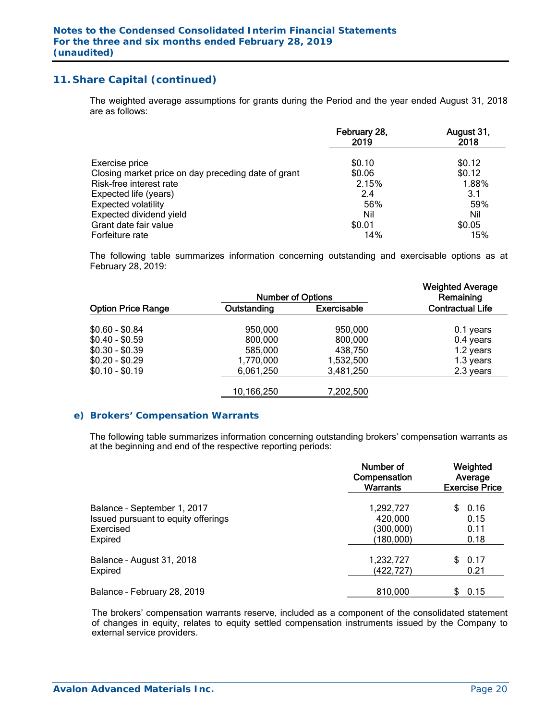The weighted average assumptions for grants during the Period and the year ended August 31, 2018 are as follows:

|                                                     | February 28,<br>2019 | August 31,<br>2018 |
|-----------------------------------------------------|----------------------|--------------------|
| Exercise price                                      | \$0.10               | \$0.12             |
| Closing market price on day preceding date of grant | \$0.06               | \$0.12             |
| Risk-free interest rate                             | 2.15%                | 1.88%              |
| Expected life (years)                               | 2.4                  | 3.1                |
| <b>Expected volatility</b>                          | 56%                  | 59%                |
| Expected dividend yield                             | Nil                  | Nil                |
| Grant date fair value                               | \$0.01               | \$0.05             |
| Forfeiture rate                                     | 14%                  | 15%                |

The following table summarizes information concerning outstanding and exercisable options as at February 28, 2019:

|                                                       | <b>Number of Options</b>          |                                   | <b>Weighted Average</b><br>Remaining |
|-------------------------------------------------------|-----------------------------------|-----------------------------------|--------------------------------------|
| <b>Option Price Range</b>                             | Outstanding                       | <b>Exercisable</b>                | <b>Contractual Life</b>              |
| $$0.60 - $0.84$<br>$$0.40 - $0.59$                    | 950,000<br>800,000                | 950,000<br>800,000                | 0.1 years<br>0.4 years               |
| $$0.30 - $0.39$<br>$$0.20 - $0.29$<br>$$0.10 - $0.19$ | 585,000<br>1,770,000<br>6,061,250 | 438,750<br>1,532,500<br>3,481,250 | 1.2 years<br>1.3 years<br>2.3 years  |
|                                                       | 10,166,250                        | 7,202,500                         |                                      |

### *e) Brokers' Compensation Warrants*

The following table summarizes information concerning outstanding brokers' compensation warrants as at the beginning and end of the respective reporting periods:

|                                     | Number of<br>Compensation<br>Warrants | Weighted<br>Average<br><b>Exercise Price</b> |
|-------------------------------------|---------------------------------------|----------------------------------------------|
| Balance - September 1, 2017         | 1,292,727                             | 0.16                                         |
| Issued pursuant to equity offerings | 420,000                               | 0.15                                         |
| Exercised                           | (300,000)                             | 0.11                                         |
| <b>Expired</b>                      | (180,000)                             | 0.18                                         |
| Balance - August 31, 2018           | 1,232,727                             | 0.17                                         |
| <b>Expired</b>                      | (422,727)                             | 0.21                                         |
| Balance - February 28, 2019         | 810,000                               | 0.15<br>\$.                                  |

The brokers' compensation warrants reserve, included as a component of the consolidated statement of changes in equity, relates to equity settled compensation instruments issued by the Company to external service providers.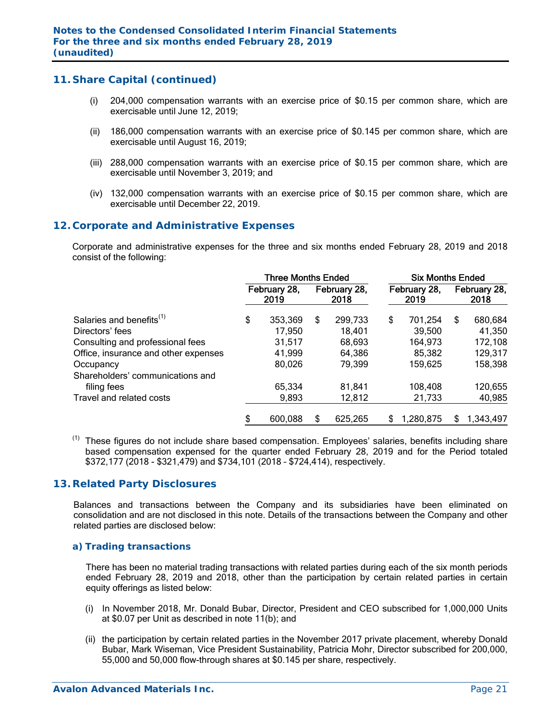- (i) 204,000 compensation warrants with an exercise price of \$0.15 per common share, which are exercisable until June 12, 2019;
- (ii) 186,000 compensation warrants with an exercise price of \$0.145 per common share, which are exercisable until August 16, 2019;
- (iii) 288,000 compensation warrants with an exercise price of \$0.15 per common share, which are exercisable until November 3, 2019; and
- (iv) 132,000 compensation warrants with an exercise price of \$0.15 per common share, which are exercisable until December 22, 2019.

### **12. Corporate and Administrative Expenses**

 Corporate and administrative expenses for the three and six months ended February 28, 2019 and 2018 consist of the following:

|                                      | <b>Three Months Ended</b> |                      |    |                      |                      | <b>Six Months Ended</b> |     |                      |  |  |  |  |
|--------------------------------------|---------------------------|----------------------|----|----------------------|----------------------|-------------------------|-----|----------------------|--|--|--|--|
|                                      |                           | February 28,<br>2019 |    | February 28,<br>2018 | February 28,<br>2019 |                         |     | February 28,<br>2018 |  |  |  |  |
| Salaries and benefits <sup>(1)</sup> | \$                        | 353,369              | \$ | 299,733              | \$                   | 701,254                 | \$. | 680,684              |  |  |  |  |
| Directors' fees                      |                           | 17,950               |    | 18,401               |                      | 39,500                  |     | 41,350               |  |  |  |  |
| Consulting and professional fees     |                           | 31,517               |    | 68,693               |                      | 164,973                 |     | 172,108              |  |  |  |  |
| Office, insurance and other expenses |                           | 41,999               |    | 64,386               |                      | 85,382                  |     | 129,317              |  |  |  |  |
| Occupancy                            |                           | 80,026               |    | 79,399               |                      | 159,625                 |     | 158,398              |  |  |  |  |
| Shareholders' communications and     |                           |                      |    |                      |                      |                         |     |                      |  |  |  |  |
| filing fees                          |                           | 65,334               |    | 81,841               |                      | 108,408                 |     | 120,655              |  |  |  |  |
| Travel and related costs             |                           | 9,893                |    | 12,812               |                      | 21,733                  |     | 40,985               |  |  |  |  |
|                                      | S                         | 600,088              | S  | 625,265              | S                    | 1,280,875               | S   | 1,343,497            |  |  |  |  |

These figures do not include share based compensation. Employees' salaries, benefits including share based compensation expensed for the quarter ended February 28, 2019 and for the Period totaled \$372,177 (2018 - \$321,479) and \$734,101 (2018 – \$724,414), respectively.

### **13. Related Party Disclosures**

 Balances and transactions between the Company and its subsidiaries have been eliminated on consolidation and are not disclosed in this note. Details of the transactions between the Company and other related parties are disclosed below:

### *a) Trading transactions*

 There has been no material trading transactions with related parties during each of the six month periods ended February 28, 2019 and 2018, other than the participation by certain related parties in certain equity offerings as listed below:

- (i) In November 2018, Mr. Donald Bubar, Director, President and CEO subscribed for 1,000,000 Units at \$0.07 per Unit as described in note 11(b); and
- (ii) the participation by certain related parties in the November 2017 private placement, whereby Donald Bubar, Mark Wiseman, Vice President Sustainability, Patricia Mohr, Director subscribed for 200,000, 55,000 and 50,000 flow-through shares at \$0.145 per share, respectively.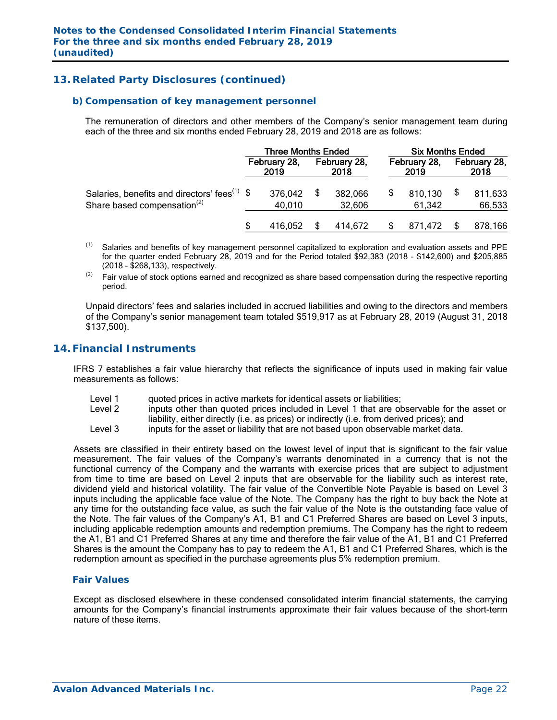# **13. Related Party Disclosures (continued)**

### *b) Compensation of key management personnel*

 The remuneration of directors and other members of the Company's senior management team during each of the three and six months ended February 28, 2019 and 2018 are as follows:

|                                                                                                     | Three Months Ended |                      |  |                      |                      | <b>Six Months Ended</b> |                      |                   |  |  |
|-----------------------------------------------------------------------------------------------------|--------------------|----------------------|--|----------------------|----------------------|-------------------------|----------------------|-------------------|--|--|
|                                                                                                     |                    | February 28,<br>2019 |  | February 28,<br>2018 | February 28,<br>2019 |                         | February 28,<br>2018 |                   |  |  |
| Salaries, benefits and directors' fees <sup>(1)</sup> \$<br>Share based compensation <sup>(2)</sup> |                    | 376,042<br>40,010    |  | 382,066<br>32,606    |                      | 810,130<br>61,342       |                      | 811,633<br>66,533 |  |  |
|                                                                                                     |                    | 416,052              |  | 414.672              |                      | 871.472                 |                      | 878,166           |  |  |

- $(1)$ Salaries and benefits of key management personnel capitalized to exploration and evaluation assets and PPE for the quarter ended February 28, 2019 and for the Period totaled \$92,383 (2018 - \$142,600) and \$205,885 (2018 - \$268,133), respectively.
- $(2)$  Fair value of stock options earned and recognized as share based compensation during the respective reporting period.

Unpaid directors' fees and salaries included in accrued liabilities and owing to the directors and members of the Company's senior management team totaled \$519,917 as at February 28, 2019 (August 31, 2018 \$137,500).

### **14. Financial Instruments**

IFRS 7 establishes a fair value hierarchy that reflects the significance of inputs used in making fair value measurements as follows:

- Level 1 quoted prices in active markets for identical assets or liabilities;
- Level 2 inputs other than quoted prices included in Level 1 that are observable for the asset or liability, either directly (i.e. as prices) or indirectly (i.e. from derived prices); and
- Level 3 inputs for the asset or liability that are not based upon observable market data.

Assets are classified in their entirety based on the lowest level of input that is significant to the fair value measurement. The fair values of the Company's warrants denominated in a currency that is not the functional currency of the Company and the warrants with exercise prices that are subject to adjustment from time to time are based on Level 2 inputs that are observable for the liability such as interest rate, dividend yield and historical volatility. The fair value of the Convertible Note Payable is based on Level 3 inputs including the applicable face value of the Note. The Company has the right to buy back the Note at any time for the outstanding face value, as such the fair value of the Note is the outstanding face value of the Note. The fair values of the Company's A1, B1 and C1 Preferred Shares are based on Level 3 inputs, including applicable redemption amounts and redemption premiums. The Company has the right to redeem the A1, B1 and C1 Preferred Shares at any time and therefore the fair value of the A1, B1 and C1 Preferred Shares is the amount the Company has to pay to redeem the A1, B1 and C1 Preferred Shares, which is the redemption amount as specified in the purchase agreements plus 5% redemption premium.

### *Fair Values*

Except as disclosed elsewhere in these condensed consolidated interim financial statements, the carrying amounts for the Company's financial instruments approximate their fair values because of the short-term nature of these items.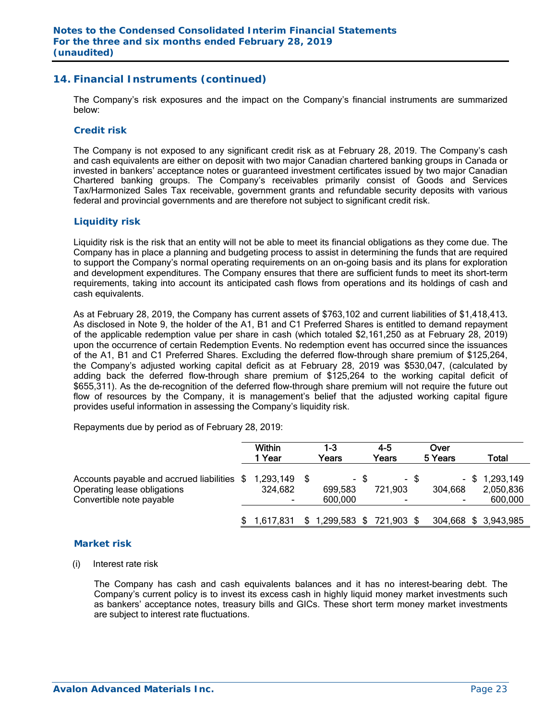## **14. Financial Instruments (continued)**

The Company's risk exposures and the impact on the Company's financial instruments are summarized below:

### *Credit risk*

The Company is not exposed to any significant credit risk as at February 28, 2019. The Company's cash and cash equivalents are either on deposit with two major Canadian chartered banking groups in Canada or invested in bankers' acceptance notes or guaranteed investment certificates issued by two major Canadian Chartered banking groups. The Company's receivables primarily consist of Goods and Services Tax/Harmonized Sales Tax receivable, government grants and refundable security deposits with various federal and provincial governments and are therefore not subject to significant credit risk.

### *Liquidity risk*

Liquidity risk is the risk that an entity will not be able to meet its financial obligations as they come due. The Company has in place a planning and budgeting process to assist in determining the funds that are required to support the Company's normal operating requirements on an on-going basis and its plans for exploration and development expenditures. The Company ensures that there are sufficient funds to meet its short-term requirements, taking into account its anticipated cash flows from operations and its holdings of cash and cash equivalents.

As at February 28, 2019, the Company has current assets of \$763,102 and current liabilities of \$1,418,413. As disclosed in Note 9, the holder of the A1, B1 and C1 Preferred Shares is entitled to demand repayment of the applicable redemption value per share in cash (which totaled \$2,161,250 as at February 28, 2019) upon the occurrence of certain Redemption Events. No redemption event has occurred since the issuances of the A1, B1 and C1 Preferred Shares. Excluding the deferred flow-through share premium of \$125,264, the Company's adjusted working capital deficit as at February 28, 2019 was \$530,047, (calculated by adding back the deferred flow-through share premium of \$125,264 to the working capital deficit of \$655,311). As the de-recognition of the deferred flow-through share premium will not require the future out flow of resources by the Company, it is management's belief that the adjusted working capital figure provides useful information in assessing the Company's liquidity risk.

Repayments due by period as of February 28, 2019:

|                                                                                                                  | <b>Within</b><br>1 Year |  | 1-3<br>Years            | $4 - 5$<br>Years |                                     | Over<br>5 Years |         | Total                                    |
|------------------------------------------------------------------------------------------------------------------|-------------------------|--|-------------------------|------------------|-------------------------------------|-----------------|---------|------------------------------------------|
| Accounts payable and accrued liabilities \$ 1,293,149<br>Operating lease obligations<br>Convertible note payable | 324,682                 |  | 699,583<br>600,000      | - \$             | 721,903<br>$\overline{\phantom{a}}$ | - \$            | 304,668 | $-$ \$ 1,293,149<br>2,050,836<br>600,000 |
|                                                                                                                  | 1,617,831               |  | 1,299,583 \$ 721,903 \$ |                  |                                     |                 |         | 304,668 \$ 3,943,985                     |

### *Market risk*

(i) Interest rate risk

 The Company has cash and cash equivalents balances and it has no interest-bearing debt. The Company's current policy is to invest its excess cash in highly liquid money market investments such as bankers' acceptance notes, treasury bills and GICs. These short term money market investments are subject to interest rate fluctuations.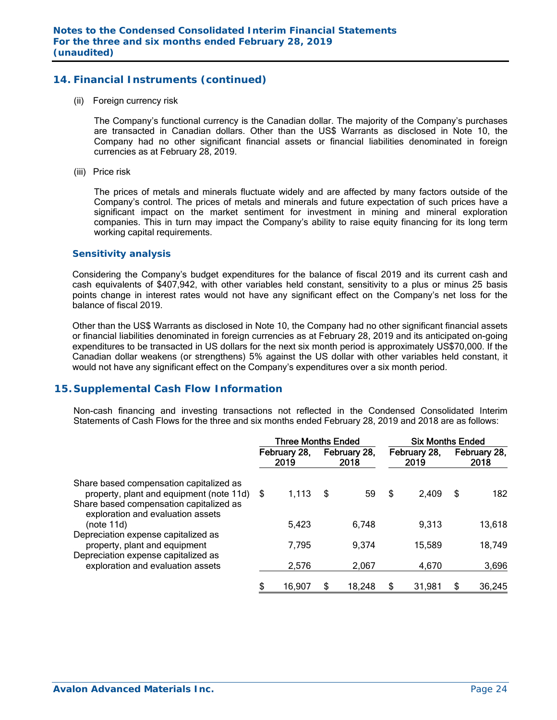## **14. Financial Instruments (continued)**

(ii) Foreign currency risk

 The Company's functional currency is the Canadian dollar. The majority of the Company's purchases are transacted in Canadian dollars. Other than the US\$ Warrants as disclosed in Note 10, the Company had no other significant financial assets or financial liabilities denominated in foreign currencies as at February 28, 2019.

(iii) Price risk

 The prices of metals and minerals fluctuate widely and are affected by many factors outside of the Company's control. The prices of metals and minerals and future expectation of such prices have a significant impact on the market sentiment for investment in mining and mineral exploration companies. This in turn may impact the Company's ability to raise equity financing for its long term working capital requirements.

### *Sensitivity analysis*

 Considering the Company's budget expenditures for the balance of fiscal 2019 and its current cash and cash equivalents of \$407,942, with other variables held constant, sensitivity to a plus or minus 25 basis points change in interest rates would not have any significant effect on the Company's net loss for the balance of fiscal 2019.

Other than the US\$ Warrants as disclosed in Note 10, the Company had no other significant financial assets or financial liabilities denominated in foreign currencies as at February 28, 2019 and its anticipated on-going expenditures to be transacted in US dollars for the next six month period is approximately US\$70,000. If the Canadian dollar weakens (or strengthens) 5% against the US dollar with other variables held constant, it would not have any significant effect on the Company's expenditures over a six month period.

### **15. Supplemental Cash Flow Information**

Non-cash financing and investing transactions not reflected in the Condensed Consolidated Interim Statements of Cash Flows for the three and six months ended February 28, 2019 and 2018 are as follows:

|                                                                                                             | <b>Three Months Ended</b> |                      |     |                      |    | <b>Six Months Ended</b> |    |                      |  |  |  |
|-------------------------------------------------------------------------------------------------------------|---------------------------|----------------------|-----|----------------------|----|-------------------------|----|----------------------|--|--|--|
|                                                                                                             |                           | February 28,<br>2019 |     | February 28,<br>2018 |    | February 28,<br>2019    |    | February 28,<br>2018 |  |  |  |
| Share based compensation capitalized as<br>property, plant and equipment (note 11d) \$                      |                           | 1,113                | -\$ | 59                   | \$ | 2,409                   | \$ | 182                  |  |  |  |
| Share based compensation capitalized as<br>exploration and evaluation assets<br>(note 11d)                  |                           | 5,423                |     | 6,748                |    | 9,313                   |    | 13,618               |  |  |  |
| Depreciation expense capitalized as<br>property, plant and equipment<br>Depreciation expense capitalized as |                           | 7,795                |     | 9,374                |    | 15,589                  |    | 18,749               |  |  |  |
| exploration and evaluation assets                                                                           |                           | 2,576                |     | 2,067                |    | 4,670                   |    | 3,696                |  |  |  |
|                                                                                                             | \$                        | 16,907               | \$  | 18,248               | \$ | 31,981                  | \$ | 36,245               |  |  |  |